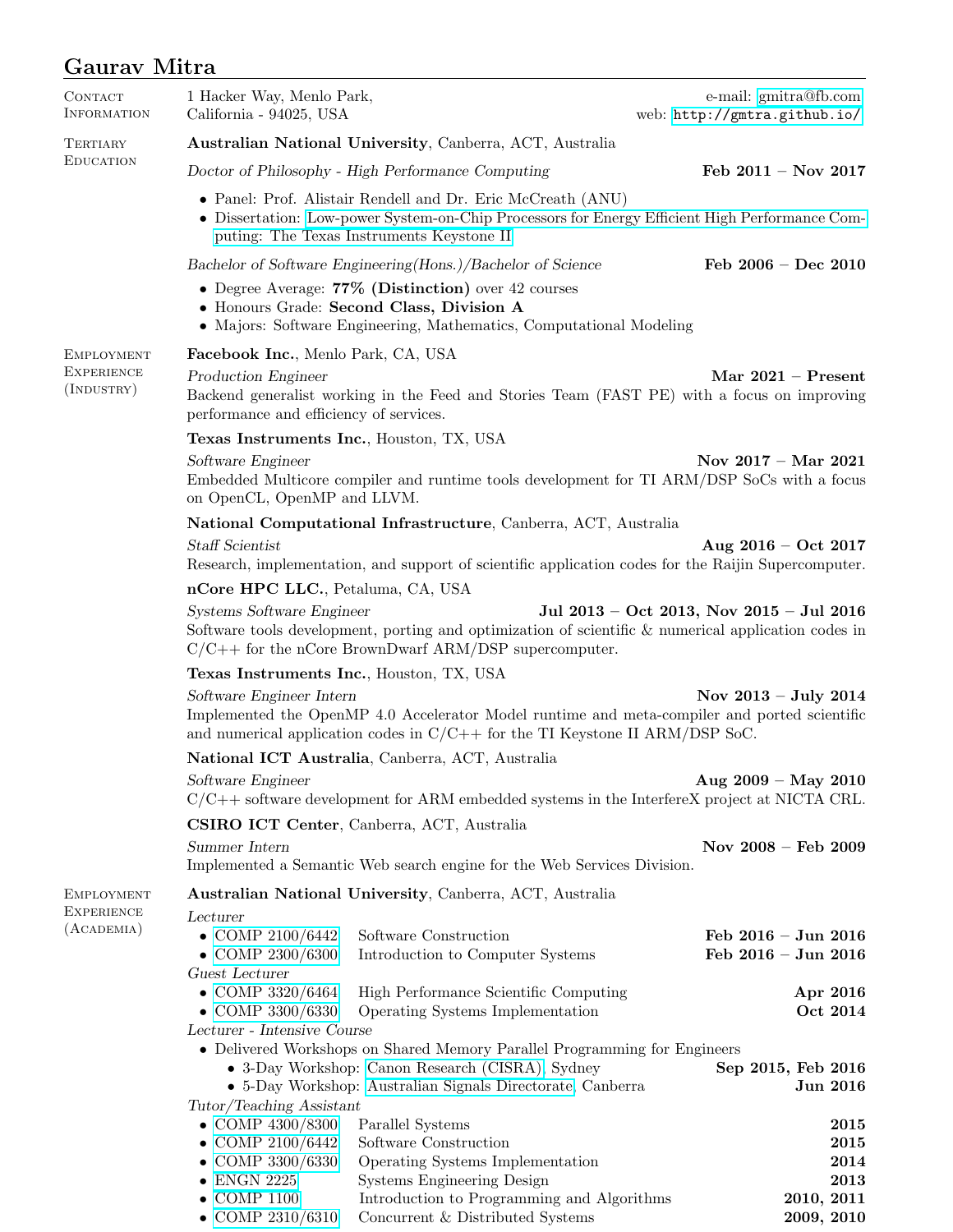## Gaurav Mitra

| <b>CONTACT</b><br>INFORMATION                              | 1 Hacker Way, Menlo Park,<br>California - 94025, USA                                                                                                                                                                                    |                                                                                                                              | e-mail: gmitra@fb.com<br>web: http://gmtra.github.io/ |  |  |
|------------------------------------------------------------|-----------------------------------------------------------------------------------------------------------------------------------------------------------------------------------------------------------------------------------------|------------------------------------------------------------------------------------------------------------------------------|-------------------------------------------------------|--|--|
| TERTIARY<br><b>EDUCATION</b>                               | Australian National University, Canberra, ACT, Australia                                                                                                                                                                                |                                                                                                                              |                                                       |  |  |
|                                                            |                                                                                                                                                                                                                                         | Doctor of Philosophy - High Performance Computing                                                                            | Feb $2011 - Nov 2017$                                 |  |  |
|                                                            | • Panel: Prof. Alistair Rendell and Dr. Eric McCreath (ANU)<br>• Dissertation: Low-power System-on-Chip Processors for Energy Efficient High Performance Com-<br>puting: The Texas Instruments Keystone II                              |                                                                                                                              |                                                       |  |  |
|                                                            |                                                                                                                                                                                                                                         | Bachelor of Software Engineering (Hons.) / Bachelor of Science                                                               | Feb $2006 - Dec 2010$                                 |  |  |
|                                                            | • Degree Average: $77\%$ (Distinction) over 42 courses<br>• Honours Grade: Second Class, Division A<br>• Majors: Software Engineering, Mathematics, Computational Modeling                                                              |                                                                                                                              |                                                       |  |  |
| <b>EMPLOYMENT</b><br><b>EXPERIENCE</b><br>$($ INDUSTRY $)$ | Facebook Inc., Menlo Park, CA, USA                                                                                                                                                                                                      |                                                                                                                              |                                                       |  |  |
|                                                            | Production Engineer<br>Mar $2021 -$ Present<br>Backend generalist working in the Feed and Stories Team (FAST PE) with a focus on improving<br>performance and efficiency of services.                                                   |                                                                                                                              |                                                       |  |  |
|                                                            | Texas Instruments Inc., Houston, TX, USA                                                                                                                                                                                                |                                                                                                                              |                                                       |  |  |
|                                                            | Nov $2017 -$ Mar $2021$<br>Software Engineer<br>Embedded Multicore compiler and runtime tools development for TI ARM/DSP SoCs with a focus<br>on OpenCL, OpenMP and LLVM.                                                               |                                                                                                                              |                                                       |  |  |
|                                                            |                                                                                                                                                                                                                                         | National Computational Infrastructure, Canberra, ACT, Australia                                                              |                                                       |  |  |
|                                                            | <b>Staff Scientist</b>                                                                                                                                                                                                                  | Aug $2016 - Oct$ 2017<br>Research, implementation, and support of scientific application codes for the Raijin Supercomputer. |                                                       |  |  |
|                                                            | nCore HPC LLC., Petaluma, CA, USA                                                                                                                                                                                                       |                                                                                                                              |                                                       |  |  |
|                                                            | Jul 2013 - Oct 2013, Nov 2015 - Jul 2016<br>Systems Software Engineer<br>Software tools development, porting and optimization of scientific & numerical application codes in<br>$C/C++$ for the nCore BrownDwarf ARM/DSP supercomputer. |                                                                                                                              |                                                       |  |  |
|                                                            | Texas Instruments Inc., Houston, TX, USA                                                                                                                                                                                                |                                                                                                                              |                                                       |  |  |
|                                                            | Software Engineer Intern<br>Nov $2013 - July 2014$<br>Implemented the OpenMP 4.0 Accelerator Model runtime and meta-compiler and ported scientific<br>and numerical application codes in $C/C++$ for the TI Keystone II ARM/DSP SoC.    |                                                                                                                              |                                                       |  |  |
|                                                            |                                                                                                                                                                                                                                         | National ICT Australia, Canberra, ACT, Australia                                                                             |                                                       |  |  |
|                                                            | Software Engineer<br>$C/C++$ software development for ARM embedded systems in the InterfereX project at NICTA CRL.                                                                                                                      |                                                                                                                              | Aug $2009 - May 2010$                                 |  |  |
|                                                            |                                                                                                                                                                                                                                         | CSIRO ICT Center, Canberra, ACT, Australia                                                                                   |                                                       |  |  |
|                                                            | Summer Intern<br>Nov 2008 - Feb 2009<br>Implemented a Semantic Web search engine for the Web Services Division.                                                                                                                         |                                                                                                                              |                                                       |  |  |
| <b>EMPLOYMENT</b><br><b>EXPERIENCE</b><br>$(A$ CADEMIA $)$ |                                                                                                                                                                                                                                         | Australian National University, Canberra, ACT, Australia                                                                     |                                                       |  |  |
|                                                            | Lecturer<br>• COMP $2100/6442$<br>$\bullet$ COMP 2300/6300                                                                                                                                                                              | Software Construction<br>Introduction to Computer Systems                                                                    | Feb 2016 - Jun 2016<br>Feb 2016 - Jun 2016            |  |  |
|                                                            | Guest Lecturer<br>$\bullet$ COMP 3320/6464<br>• COMP $3300/6330$                                                                                                                                                                        | High Performance Scientific Computing<br>Operating Systems Implementation                                                    | Apr 2016<br>Oct 2014                                  |  |  |
|                                                            | Lecturer - Intensive Course                                                                                                                                                                                                             |                                                                                                                              |                                                       |  |  |
|                                                            | • Delivered Workshops on Shared Memory Parallel Programming for Engineers<br>• 3-Day Workshop: Canon Research (CISRA), Sydney<br>• 5-Day Workshop: Australian Signals Directorate, Canberra                                             |                                                                                                                              | Sep 2015, Feb 2016<br><b>Jun 2016</b>                 |  |  |
|                                                            | Tutor/Teaching Assistant                                                                                                                                                                                                                |                                                                                                                              |                                                       |  |  |
|                                                            | • COMP $4300/8300$<br>• COMP $2100/6442$                                                                                                                                                                                                | Parallel Systems<br>Software Construction                                                                                    | 2015<br>2015                                          |  |  |
|                                                            | • COMP $3300/6330$                                                                                                                                                                                                                      | Operating Systems Implementation                                                                                             | 2014                                                  |  |  |
|                                                            | $\bullet$ ENGN 2225<br>$\bullet$ COMP 1100                                                                                                                                                                                              | Systems Engineering Design<br>Introduction to Programming and Algorithms                                                     | 2013<br>2010, 2011                                    |  |  |
|                                                            | • COMP $2310/6310$                                                                                                                                                                                                                      | Concurrent & Distributed Systems                                                                                             | 2009, 2010                                            |  |  |